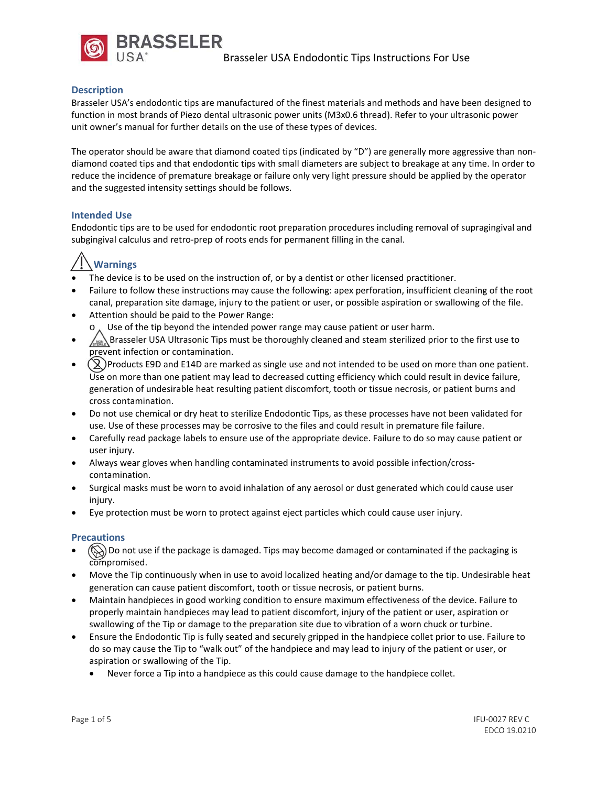

## **Description**

Brasseler USA's endodontic tips are manufactured of the finest materials and methods and have been designed to function in most brands of Piezo dental ultrasonic power units (M3x0.6 thread). Refer to your ultrasonic power unit owner's manual for further details on the use of these types of devices.

The operator should be aware that diamond coated tips (indicated by "D") are generally more aggressive than nondiamond coated tips and that endodontic tips with small diameters are subject to breakage at any time. In order to reduce the incidence of premature breakage or failure only very light pressure should be applied by the operator and the suggested intensity settings should be follows.

## **Intended Use**

Endodontic tips are to be used for endodontic root preparation procedures including removal of supragingival and subgingival calculus and retro‐prep of roots ends for permanent filling in the canal.

# **Warnings**

- The device is to be used on the instruction of, or by a dentist or other licensed practitioner.
- Failure to follow these instructions may cause the following: apex perforation, insufficient cleaning of the root canal, preparation site damage, injury to the patient or user, or possible aspiration or swallowing of the file.
- Attention should be paid to the Power Range: Use of the tip beyond the intended power range may cause patient or user harm.
- Brasseler USA Ultrasonic Tips must be thoroughly cleaned and steam sterilized prior to the first use to prevent infection or contamination.
- $\binom{8}{2}$  Products E9D and E14D are marked as single use and not intended to be used on more than one patient. Use on more than one patient may lead to decreased cutting efficiency which could result in device failure, generation of undesirable heat resulting patient discomfort, tooth or tissue necrosis, or patient burns and cross contamination.
- Do not use chemical or dry heat to sterilize Endodontic Tips, as these processes have not been validated for use. Use of these processes may be corrosive to the files and could result in premature file failure.
- Carefully read package labels to ensure use of the appropriate device. Failure to do so may cause patient or user injury.
- Always wear gloves when handling contaminated instruments to avoid possible infection/cross‐ contamination.
- Surgical masks must be worn to avoid inhalation of any aerosol or dust generated which could cause user injury.
- Eye protection must be worn to protect against eject particles which could cause user injury.

## **Precautions**

- (S) Do not use if the package is damaged. Tips may become damaged or contaminated if the packaging is compromised.
- Move the Tip continuously when in use to avoid localized heating and/or damage to the tip. Undesirable heat generation can cause patient discomfort, tooth or tissue necrosis, or patient burns.
- Maintain handpieces in good working condition to ensure maximum effectiveness of the device. Failure to properly maintain handpieces may lead to patient discomfort, injury of the patient or user, aspiration or swallowing of the Tip or damage to the preparation site due to vibration of a worn chuck or turbine.
- Ensure the Endodontic Tip is fully seated and securely gripped in the handpiece collet prior to use. Failure to do so may cause the Tip to "walk out" of the handpiece and may lead to injury of the patient or user, or aspiration or swallowing of the Tip.
	- Never force a Tip into a handpiece as this could cause damage to the handpiece collet.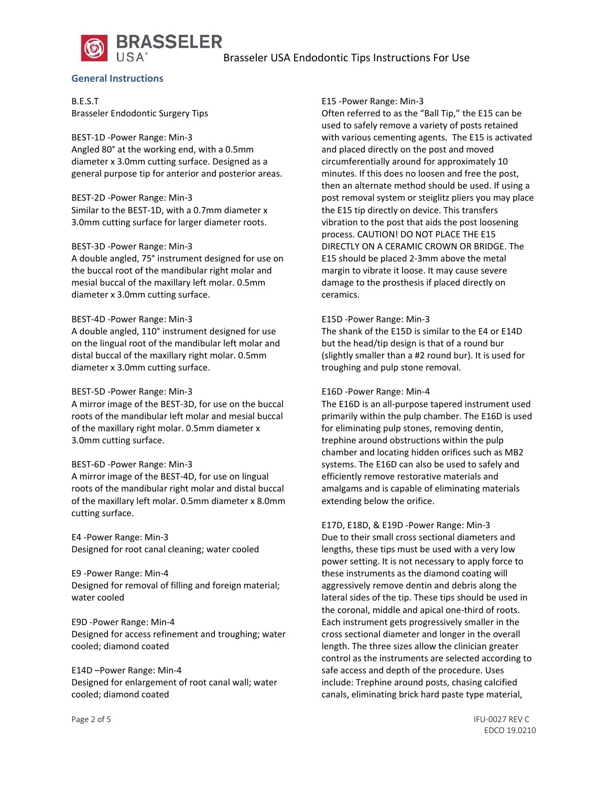## Brasseler USA Endodontic Tips Instructions For Use



#### **General Instructions**

B.E.S.T Brasseler Endodontic Surgery Tips

BEST‐1D ‐Power Range: Min‐3 Angled 80° at the working end, with a 0.5mm diameter x 3.0mm cutting surface. Designed as a general purpose tip for anterior and posterior areas.

#### BEST‐2D ‐Power Range: Min‐3

Similar to the BEST‐1D, with a 0.7mm diameter x 3.0mm cutting surface for larger diameter roots.

#### BEST‐3D ‐Power Range: Min‐3

A double angled, 75° instrument designed for use on the buccal root of the mandibular right molar and mesial buccal of the maxillary left molar. 0.5mm diameter x 3.0mm cutting surface.

#### BEST‐4D ‐Power Range: Min‐3

A double angled, 110° instrument designed for use on the lingual root of the mandibular left molar and distal buccal of the maxillary right molar. 0.5mm diameter x 3.0mm cutting surface.

#### BEST‐5D ‐Power Range: Min‐3

A mirror image of the BEST‐3D, for use on the buccal roots of the mandibular left molar and mesial buccal of the maxillary right molar. 0.5mm diameter x 3.0mm cutting surface.

#### BEST‐6D ‐Power Range: Min‐3

A mirror image of the BEST‐4D, for use on lingual roots of the mandibular right molar and distal buccal of the maxillary left molar. 0.5mm diameter x 8.0mm cutting surface.

E4 ‐Power Range: Min‐3 Designed for root canal cleaning; water cooled

E9 ‐Power Range: Min‐4 Designed for removal of filling and foreign material; water cooled

E9D ‐Power Range: Min‐4 Designed for access refinement and troughing; water cooled; diamond coated

E14D –Power Range: Min‐4 Designed for enlargement of root canal wall; water cooled; diamond coated

#### E15 ‐Power Range: Min‐3

Often referred to as the "Ball Tip," the E15 can be used to safely remove a variety of posts retained with various cementing agents. The E15 is activated and placed directly on the post and moved circumferentially around for approximately 10 minutes. If this does no loosen and free the post, then an alternate method should be used. If using a post removal system or steiglitz pliers you may place the E15 tip directly on device. This transfers vibration to the post that aids the post loosening process. CAUTION! DO NOT PLACE THE E15 DIRECTLY ON A CERAMIC CROWN OR BRIDGE. The E15 should be placed 2‐3mm above the metal margin to vibrate it loose. It may cause severe damage to the prosthesis if placed directly on ceramics.

#### E15D ‐Power Range: Min‐3

The shank of the E15D is similar to the E4 or E14D but the head/tip design is that of a round bur (slightly smaller than a #2 round bur). It is used for troughing and pulp stone removal.

#### E16D ‐Power Range: Min‐4

The E16D is an all‐purpose tapered instrument used primarily within the pulp chamber. The E16D is used for eliminating pulp stones, removing dentin, trephine around obstructions within the pulp chamber and locating hidden orifices such as MB2 systems. The E16D can also be used to safely and efficiently remove restorative materials and amalgams and is capable of eliminating materials extending below the orifice.

E17D, E18D, & E19D ‐Power Range: Min‐3 Due to their small cross sectional diameters and lengths, these tips must be used with a very low power setting. It is not necessary to apply force to these instruments as the diamond coating will aggressively remove dentin and debris along the lateral sides of the tip. These tips should be used in the coronal, middle and apical one‐third of roots. Each instrument gets progressively smaller in the cross sectional diameter and longer in the overall length. The three sizes allow the clinician greater control as the instruments are selected according to safe access and depth of the procedure. Uses include: Trephine around posts, chasing calcified canals, eliminating brick hard paste type material,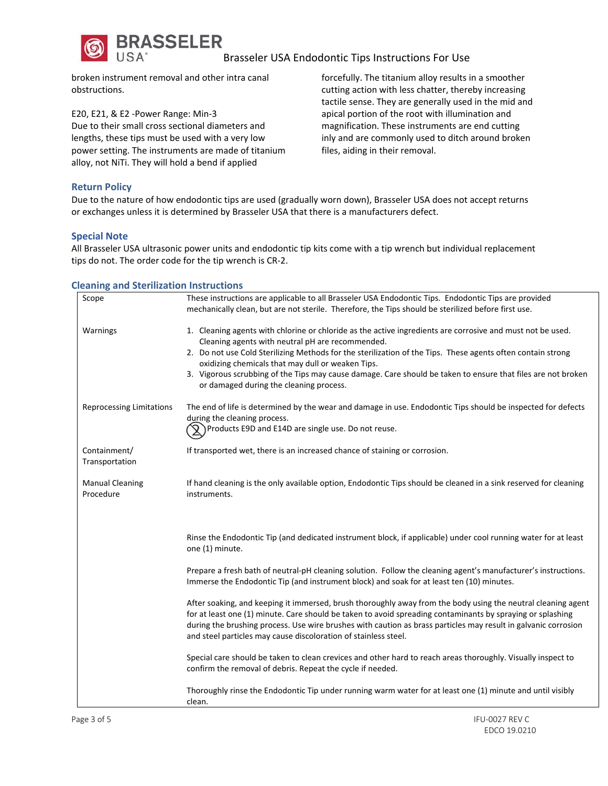

## Brasseler USA Endodontic Tips Instructions For Use

broken instrument removal and other intra canal obstructions.

E20, E21, & E2 ‐Power Range: Min‐3 Due to their small cross sectional diameters and lengths, these tips must be used with a very low power setting. The instruments are made of titanium alloy, not NiTi. They will hold a bend if applied

forcefully. The titanium alloy results in a smoother cutting action with less chatter, thereby increasing tactile sense. They are generally used in the mid and apical portion of the root with illumination and magnification. These instruments are end cutting inly and are commonly used to ditch around broken files, aiding in their removal.

## **Return Policy**

Due to the nature of how endodontic tips are used (gradually worn down), Brasseler USA does not accept returns or exchanges unless it is determined by Brasseler USA that there is a manufacturers defect.

## **Special Note**

All Brasseler USA ultrasonic power units and endodontic tip kits come with a tip wrench but individual replacement tips do not. The order code for the tip wrench is CR‐2.

#### **Cleaning and Sterilization Instructions**

| Scope                               | These instructions are applicable to all Brasseler USA Endodontic Tips. Endodontic Tips are provided                                                                                                                                                                                                                                                                                                                                                                                          |
|-------------------------------------|-----------------------------------------------------------------------------------------------------------------------------------------------------------------------------------------------------------------------------------------------------------------------------------------------------------------------------------------------------------------------------------------------------------------------------------------------------------------------------------------------|
|                                     | mechanically clean, but are not sterile. Therefore, the Tips should be sterilized before first use.                                                                                                                                                                                                                                                                                                                                                                                           |
| Warnings                            | 1. Cleaning agents with chlorine or chloride as the active ingredients are corrosive and must not be used.<br>Cleaning agents with neutral pH are recommended.<br>2. Do not use Cold Sterilizing Methods for the sterilization of the Tips. These agents often contain strong<br>oxidizing chemicals that may dull or weaken Tips.<br>3. Vigorous scrubbing of the Tips may cause damage. Care should be taken to ensure that files are not broken<br>or damaged during the cleaning process. |
| <b>Reprocessing Limitations</b>     | The end of life is determined by the wear and damage in use. Endodontic Tips should be inspected for defects<br>during the cleaning process.<br>$\mathcal{R}$ ) Products E9D and E14D are single use. Do not reuse.                                                                                                                                                                                                                                                                           |
| Containment/<br>Transportation      | If transported wet, there is an increased chance of staining or corrosion.                                                                                                                                                                                                                                                                                                                                                                                                                    |
| <b>Manual Cleaning</b><br>Procedure | If hand cleaning is the only available option, Endodontic Tips should be cleaned in a sink reserved for cleaning<br>instruments.                                                                                                                                                                                                                                                                                                                                                              |
|                                     | Rinse the Endodontic Tip (and dedicated instrument block, if applicable) under cool running water for at least<br>one (1) minute.                                                                                                                                                                                                                                                                                                                                                             |
|                                     | Prepare a fresh bath of neutral-pH cleaning solution. Follow the cleaning agent's manufacturer's instructions.<br>Immerse the Endodontic Tip (and instrument block) and soak for at least ten (10) minutes.                                                                                                                                                                                                                                                                                   |
|                                     | After soaking, and keeping it immersed, brush thoroughly away from the body using the neutral cleaning agent<br>for at least one (1) minute. Care should be taken to avoid spreading contaminants by spraying or splashing<br>during the brushing process. Use wire brushes with caution as brass particles may result in galvanic corrosion<br>and steel particles may cause discoloration of stainless steel.                                                                               |
|                                     | Special care should be taken to clean crevices and other hard to reach areas thoroughly. Visually inspect to<br>confirm the removal of debris. Repeat the cycle if needed.                                                                                                                                                                                                                                                                                                                    |
|                                     | Thoroughly rinse the Endodontic Tip under running warm water for at least one (1) minute and until visibly<br>clean.                                                                                                                                                                                                                                                                                                                                                                          |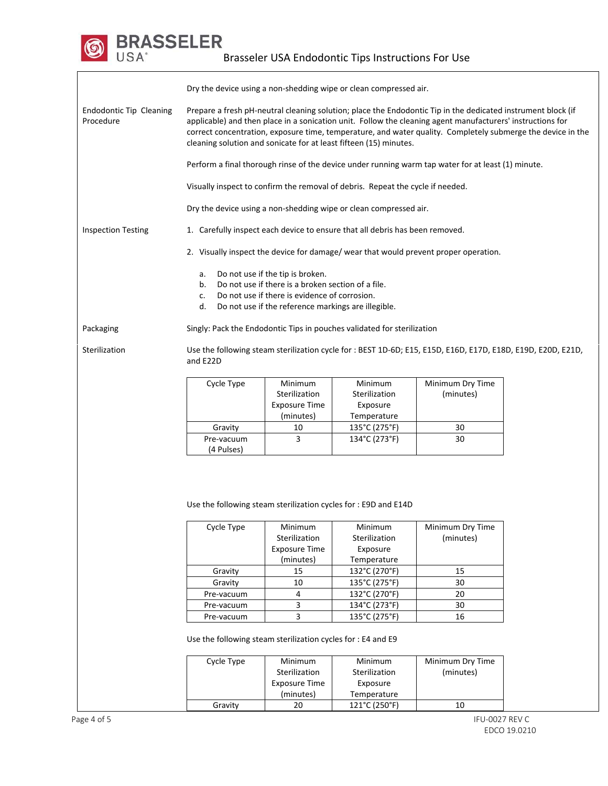

|                                             | Dry the device using a non-shedding wipe or clean compressed air.                                                                                                                                                                                                                                                                                                                                              |                                                               |                                                     |                               |  |
|---------------------------------------------|----------------------------------------------------------------------------------------------------------------------------------------------------------------------------------------------------------------------------------------------------------------------------------------------------------------------------------------------------------------------------------------------------------------|---------------------------------------------------------------|-----------------------------------------------------|-------------------------------|--|
| <b>Endodontic Tip Cleaning</b><br>Procedure | Prepare a fresh pH-neutral cleaning solution; place the Endodontic Tip in the dedicated instrument block (if<br>applicable) and then place in a sonication unit. Follow the cleaning agent manufacturers' instructions for<br>correct concentration, exposure time, temperature, and water quality. Completely submerge the device in the<br>cleaning solution and sonicate for at least fifteen (15) minutes. |                                                               |                                                     |                               |  |
|                                             | Perform a final thorough rinse of the device under running warm tap water for at least (1) minute.                                                                                                                                                                                                                                                                                                             |                                                               |                                                     |                               |  |
|                                             | Visually inspect to confirm the removal of debris. Repeat the cycle if needed.                                                                                                                                                                                                                                                                                                                                 |                                                               |                                                     |                               |  |
|                                             | Dry the device using a non-shedding wipe or clean compressed air.                                                                                                                                                                                                                                                                                                                                              |                                                               |                                                     |                               |  |
| <b>Inspection Testing</b>                   | 1. Carefully inspect each device to ensure that all debris has been removed.                                                                                                                                                                                                                                                                                                                                   |                                                               |                                                     |                               |  |
|                                             | 2. Visually inspect the device for damage/ wear that would prevent proper operation.                                                                                                                                                                                                                                                                                                                           |                                                               |                                                     |                               |  |
|                                             | Do not use if the tip is broken.<br>a.<br>Do not use if there is a broken section of a file.<br>b.<br>Do not use if there is evidence of corrosion.<br>c.<br>d.<br>Do not use if the reference markings are illegible.                                                                                                                                                                                         |                                                               |                                                     |                               |  |
| Packaging                                   | Singly: Pack the Endodontic Tips in pouches validated for sterilization                                                                                                                                                                                                                                                                                                                                        |                                                               |                                                     |                               |  |
| Sterilization                               | Use the following steam sterilization cycle for : BEST 1D-6D; E15, E15D, E16D, E17D, E18D, E19D, E20D, E21D,<br>and E22D                                                                                                                                                                                                                                                                                       |                                                               |                                                     |                               |  |
|                                             | Cycle Type                                                                                                                                                                                                                                                                                                                                                                                                     | Minimum<br>Sterilization<br><b>Exposure Time</b>              | Minimum<br>Sterilization<br>Exposure                | Minimum Dry Time<br>(minutes) |  |
|                                             | Gravity                                                                                                                                                                                                                                                                                                                                                                                                        | (minutes)<br>10                                               | Temperature<br>135°C (275°F)                        | 30                            |  |
|                                             |                                                                                                                                                                                                                                                                                                                                                                                                                |                                                               | 134°C (273°F)                                       |                               |  |
|                                             | Pre-vacuum<br>(4 Pulses)                                                                                                                                                                                                                                                                                                                                                                                       | 3                                                             |                                                     | 30                            |  |
|                                             | Use the following steam sterilization cycles for: E9D and E14D<br>Cycle Type                                                                                                                                                                                                                                                                                                                                   | Minimum<br>Sterilization<br><b>Exposure Time</b><br>(minutes) | Minimum<br>Sterilization<br>Exposure<br>Temperature | Minimum Dry Time<br>(minutes) |  |
|                                             | Gravity                                                                                                                                                                                                                                                                                                                                                                                                        | 15                                                            | 132°C (270°F)                                       | 15                            |  |
|                                             | Gravity                                                                                                                                                                                                                                                                                                                                                                                                        | 10                                                            | 135°C (275°F)                                       | 30                            |  |
|                                             | Pre-vacuum                                                                                                                                                                                                                                                                                                                                                                                                     | 4                                                             | 132°C (270°F)                                       | 20                            |  |
|                                             | Pre-vacuum                                                                                                                                                                                                                                                                                                                                                                                                     | 3                                                             | 134°C (273°F)                                       | 30                            |  |
|                                             | Pre-vacuum                                                                                                                                                                                                                                                                                                                                                                                                     | 3                                                             | 135°C (275°F)                                       | 16                            |  |
|                                             | Use the following steam sterilization cycles for : E4 and E9                                                                                                                                                                                                                                                                                                                                                   |                                                               |                                                     |                               |  |
|                                             | Cycle Type                                                                                                                                                                                                                                                                                                                                                                                                     | Minimum<br>Sterilization<br><b>Exposure Time</b>              | Minimum<br>Sterilization<br>Exposure                | Minimum Dry Time<br>(minutes) |  |

(minutes)

Exposure Temperature

Gravity 20 121°C (250°F) 10

 $\bm{\mathsf{\odot}}$